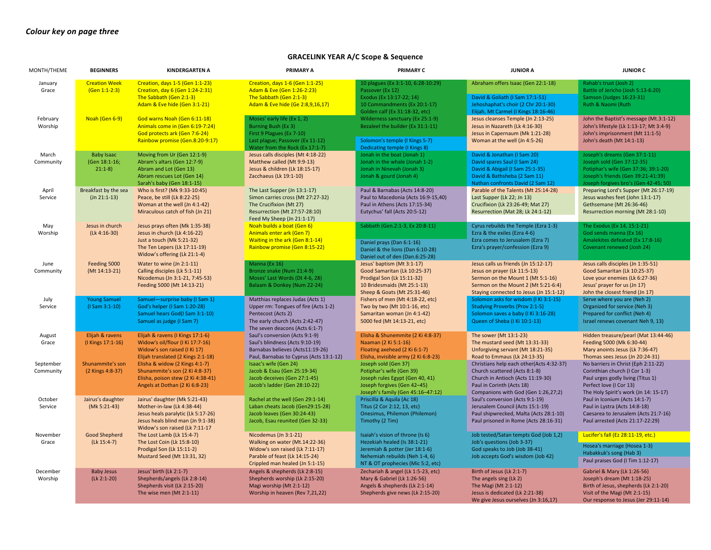## **GRACELINK YEAR A/C Scope & Sequence**

| MONTH/THEME            | <b>BEGINNERS</b>                               | <b>KINDERGARTEN A</b>                                                                                                                                                    | PRIMARY A                                                                                                                                                           | PRIMARY C                                                                                                                                                                 | <b>JUNIOR A</b>                                                                                                                                                                             | <b>JUNIOR C</b>                                                                                                                                                                    |
|------------------------|------------------------------------------------|--------------------------------------------------------------------------------------------------------------------------------------------------------------------------|---------------------------------------------------------------------------------------------------------------------------------------------------------------------|---------------------------------------------------------------------------------------------------------------------------------------------------------------------------|---------------------------------------------------------------------------------------------------------------------------------------------------------------------------------------------|------------------------------------------------------------------------------------------------------------------------------------------------------------------------------------|
| January<br>Grace       | <b>Creation Week</b><br>$(Gen 1:1-2:3)$        | Creation, days 1-5 (Gen 1:1-23)<br>Creation, day 6 (Gen 1:24-2:31)<br>The Sabbath (Gen 2:1-3)<br>Adam & Eve hide (Gen 3:1-21)                                            | Creation, days 1-6 (Gen 1:1-25)<br>Adam & Eve (Gen 1:26-2:23)<br>The Sabbath (Gen 2:1-3)<br>Adam & Eve hide (Ge 2:8,9,16,17)                                        | 10 plagues (Ex 3:1-10, 6:28-10:29)<br>Passover (Ex 12)<br>Exodus (Ex 13:17-22; 14)<br>10 Commandments (Ex 20:1-17)<br>Golden calf (Ex 31:18-32, etc)                      | Abraham offers Isaac (Gen 22:1-18)<br>David & Goliath (I Sam 17:1-51)<br>Jehoshaphat's choir (2 Chr 20:1-30)<br>Elijah, Mt Carmel (I Kings 18:16-46)                                        | Rahab's trust (Josh 2)<br>Battle of Jericho (Josh 5:13-6:20)<br>Samson (Judges 16:23-31)<br>Ruth & Naomi (Ruth                                                                     |
| February<br>Worship    | Noah (Gen 6-9)                                 | God warns Noah (Gen 6:11-18)<br>Animals come in (Gen 6:19-7:24)<br>God protects ark (Gen 7:6-24)<br>Rainbow promise (Gen.8:20-9:17)                                      | Moses' early life (Ex 1, 2)<br>Burning Bush (Ex 3)<br>First 9 Plagues (Ex 7-10)<br>Last plague; Passover (Ex 11-12)<br>Water from the Rock (Ex 17:1-7)              | Wilderness sanctuary (Ex 25:1-9)<br>Bezaleel the builder (Ex 31:1-11)<br>Solomon's temple (I Kings 5-7)<br>Dedicating temple (I Kings 8)                                  | Jesus cleanses Temple (Jn 2:13-25)<br>Jesus in Nazareth (Lk 4:16-30)<br>Jesus in Capernaum (Mk 1:21-28)<br>Woman at the well (Jn 4:5-26)                                                    | John the Baptist's message (Mt.3:1-12)<br>John's lifestyle (Lk 1:13-17; Mt 3:4-9)<br>John's imprisonment (Mt 11:1-5)<br>John's death (Mt 14:1-13)                                  |
| March<br>Community     | <b>Baby Isaac</b><br>(Gen 18:1-16;<br>$21:1-8$ | Moving from Ur (Gen 12:1-9)<br>Abram's altars (Gen 12:7-9)<br>Abram and Lot (Gen 13)<br>Abram rescues Lot (Gen 14)<br>Sarah's baby (Gen 18:1-15)                         | Jesus calls disciples (Mt 4:18-22)<br>Matthew called (Mt 9:9-13)<br>Jesus & children (Lk 18:15-17)<br>Zacchaeus (Lk 19:1-10)                                        | Jonah in the boat (Jonah 1)<br>Jonah in the whale (Jonah 1-2)<br>Jonah in Ninevah (Jonah 3)<br>Jonah & gourd (Jonah 4)                                                    | David & Jonathan (I Sam 20)<br>David spares Saul (I Sam 24)<br>David & Abigail (I Sam 25:1-35)<br>David & Bathsheba (2 Sam 11)<br>Nathan confronts David (2 Sam 12)                         | Joseph's dreams (Gen 37:1-11)<br>Joseph sold (Gen 37:12-35)<br>Potiphar's wife (Gen 37:36; 39:1-20)<br>Joseph's friends (Gen 39:21-41:39)<br>Joseph forgives bro's (Gen 42-45; 50) |
| April<br>Service       | Breakfast by the sea<br>$(In 21:1-13)$         | Who is first? (Mk 9:33-10:45)<br>Peace, be still (Lk 8:22-25)<br>Woman at the well (Jn 4:1-42)<br>Miraculous catch of fish (Jn 21)                                       | The Last Supper (Jn 13:1-17)<br>Simon carries cross (Mt 27:27-32)<br>The Crucifixion (Mt 27)<br>Resurrection (Mt 27:57-28:10)<br>Feed My Sheep (Jn 21:1-17)         | Paul & Barnabas (Acts 14:8-20)<br>Paul to Macedonia (Acts 16:9-15,40)<br>Paul in Athens (Acts 17:15-34)<br>Eutychus' fall (Acts 20:5-12)                                  | Parable of the Talents (Mt 25:14-28)<br>Last Supper (Lk 22; Jn 13)<br>Crucifixion (Lk 23:26-49; Mat 27)<br>Resurrection (Mat 28; Lk 24:1-12)                                                | Preparing Lord's Supper (Mt 26:17-19)<br>Jesus washes feet (John 13:1-17)<br>Gethsemane (Mt 26:36-46)<br>Resurrection morning (Mt 28:1-10)                                         |
| May<br>Worship         | Jesus in church<br>$(Lk 4:16-30)$              | Jesus prays often (Mk 1:35-38)<br>Jesus in church (Lk 4:16-22)<br>Just a touch (Mk 5:21-32)<br>The Ten Lepers (Lk 17:11-19)<br>Widow's offering (Lk 21:1-4)              | Noah builds a boat (Gen 6)<br>Animals enter ark (Gen 7)<br>Waiting in the ark (Gen 8:1-14)<br>Rainbow promise (Gen 8:15-22)                                         | Sabbath (Gen.2:1-3, Ex 20:8-11)<br>Daniel prays (Dan 6:1-16)<br>Daniel & the lions (Dan 6:10-28)<br>Daniel out of den (Dan.6:25-28)                                       | Cyrus rebuilds the Temple (Ezra 1-3)<br>Ezra & the exiles (Ezra 4-6)<br>Ezra comes to Jerusalem (Ezra 7)<br>Ezra's prayer/confession (Ezra 9)                                               | The Exodus (Ex 14, 15:1-21)<br>God sends manna (Ex 16)<br>Amalekites defeated (Ex 17:8-16)<br>Covenant renewed (Josh 24)                                                           |
| June<br>Community      | Feeding 5000<br>(Mt 14:13-21)                  | Water to wine (Jn 2:1-11)<br>Calling disciples (Lk 5:1-11)<br>Nicodemus (Jn 3:1-21, 7:45-53)<br>Feeding 5000 (Mt 14:13-21)                                               | Manna (Ex 16)<br>Bronze snake (Num 21:4-9)<br>Moses' Last Words (Dt 4-6, 28)<br>Balaam & Donkey (Num 22-24)                                                         | Jesus' baptism (Mt 3:1-17)<br>Good Samaritan (Lk 10:25-37)<br>Prodigal Son (Lk 15:11-32)<br>10 Bridesmaids (Mt 25:1-13)<br>Sheep & Goats (Mt 25:31-46)                    | Jesus calls us friends (Jn 15:12-17)<br>Jesus on prayer (Lk 11:5-13)<br>Sermon on the Mount 1 (Mt 5:1-16)<br>Sermon on the Mount 2 (Mt 5:21-6:4)<br>Staying connected to Jesus (Jn 15:1-12) | Jesus calls disciples (Jn 1:35-51)<br>Good Samaritan (Lk 10:25-37)<br>Love your enemies (Lk 6:27-36)<br>Jesus' prayer for us (Jn 17)<br>John the closest friend (Jn 17)            |
| July<br>Service        | <b>Young Samuel</b><br>$(1 Sam 3:1-10)$        | Samuel-surprise baby (I Sam 1)<br>God's helper (I Sam 1:20-28)<br>Samuel hears God(I Sam 3:1-10)<br>Samuel as judge (I Sam 7)                                            | Matthias replaces Judas (Acts 1)<br>Upper rm: Tongues of fire (Acts 1-2)<br>Pentecost (Acts 2)<br>The early church (Acts 2:42-47)<br>The seven deacons (Acts 6:1-7) | Fishers of men (Mt 4:18-22, etc)<br>Two by two (Mt 10:1-16, etc)<br>Samaritan woman (Jn 4:1-42)<br>5000 fed (Mt 14:13-21, etc)                                            | Solomon asks for wisdom (I Ki 3:1-15)<br><b>Studying Proverbs (Prov 2:1-5)</b><br>Solomon saves a baby (I Ki 3:16-28)<br>Queen of Sheba (I Ki 10:1-13)                                      | Serve where you are (Neh 2)<br>Organized for service (Neh 3)<br>Prepared for conflict (Neh 4)<br>Israel renews covenant Neh 9, 13)                                                 |
| August<br>Grace        | Elijah & ravens<br>(I Kings 17:1-16)           | Elijah & ravens (I Kings 17:1-6)<br>Widow's oil/flour (I Ki 17:7-16)<br>Widow's son raised (I Ki 17)<br>Elijah translated (2 Kings 2:1-18)                               | Saul's conversion (Acts 9:1-9)<br>Saul's blindness (Acts 9:10-19)<br>Barnabas believes (Acts11:19-26)<br>Paul, Barnabas to Cyprus (Acts 13:1-12)                    | Elisha & Shunemmite (2 Ki 4:8-37)<br>Naaman (2 Ki 5:1-16)<br>Floating axehead (2 Ki 6:1-7)<br>Elisha, invisible army (2 Ki 6:8-23)                                        | The sower (Mt 13:1-23)<br>The mustard seed (Mt 13:31-33)<br>Unforgiving servant (Mt 18:21-35)<br>Road to Emmaus (Lk 24:13-35)                                                               | Hidden treasure/pearl (Mat 13:44-46)<br>Feeding 5000 (Mk 6:30-44)<br>Mary anoints Jesus (Lk 7:36-47)<br>Thomas sees Jesus (Jn 20:24-31)                                            |
| September<br>Community | Shunammite's son<br>(2 Kings 4:8-37)           | Elisha & widow (2 Kings 4:1-7)<br>Shunammite's son (2 Ki 4:8-37)<br>Elisha, poison stew (2 Ki 4:38-41)<br>Angels at Dothan (2 Ki 6:8-23)                                 | Isaac's wife (Gen 24)<br>Jacob & Esau (Gen 25:19-34)<br>Jacob deceives (Gen 27:1-45)<br>Jacob's ladder (Gen 28:10-22)                                               | Joseph sold (Gen 37)<br>Potiphar's wife (Gen 39)<br>Joseph rules Egypt (Gen 40, 41)<br>Joseph forgives (Gen 42-45)<br>Joseph's family (Gen 45:16-47:12)                   | Christians help each other(Acts 4:32-37)<br>Church scattered (Acts 8:1-8)<br>Church in Antioch (Acts 11:19-30)<br>Paul in Corinth (Acts 18)<br>Companions with God (Gen 1:26,27;2)          | No barriers in Christ (Eph 2:11-22)<br>Corinthian church (I Cor 1-3)<br>Paul urges godly living (Titus 1)<br>Perfect love (I Cor 13)<br>The Holy Spirit's work (Jn 14: 15-17)      |
| October<br>Service     | Jairus's daughter<br>(Mk 5:21-43)              | Jairus' daughter (Mk 5:21-43)<br>Mother-in-law (Lk 4:38-44)<br>Jesus heals paralytic (Lk 5:17-26)<br>Jesus heals blind man (Jn 9:1-38)<br>Widow's son raised (Lk 7:11-17 | Rachel at the well (Gen 29:1-14)<br>Laban cheats Jacob (Gen29:15-28)<br>Jacob leaves (Gen 30:24-43)<br>Jacob, Esau reunited (Gen 32-33)                             | Priscilla & Aquila (Ac 18)<br>Titus (2 Cor 2:12, 13, etc)<br>Onesimus, Philemon (Philemon)<br>Timothy (2 Tim)                                                             | Saul's conversion (Acts 9:1-19)<br>Jerusalem Council (Acts 15:1-19)<br>Paul shipwrecked, Malta (Acts 28:1-10)<br>Paul prisoned in Rome (Acts 28:16-31)                                      | Paul in Iconium (Acts 14:1-7)<br>Paul in Lystra (Acts 14:8-18)<br>Caesarea to Jerusalem (Acts 21:7-16)<br>Paul arrested (Acts 21:17-22:29)                                         |
| November<br>Grace      | <b>Good Shepherd</b><br>$(Lk 15:4-7)$          | The Lost Lamb (Lk 15:4-7)<br>The Lost Coin (Lk 15:8-10)<br>Prodigal Son (Lk 15:11-2)<br>Mustard Seed (Mt 13:31, 32)                                                      | Nicodemus (Jn 3:1-21)<br>Walking on water (Mt.14:22-36)<br>Widow's son raised (Lk 7:11-17)<br>Parable of feast (Lk 14:15-24)<br>Crippled man healed (Jn 5:1-15)     | Isaiah's vision of throne (Is 6)<br>Hezekiah healed (Is 38:1-21)<br>Jeremiah & potter (Jer 18:1-6)<br>Nehemiah rebuilds (Neh 1-4, 6)<br>NT & OT prophecies (Mic 5:2, etc) | Job tested/Satan tempts God (Job 1,2)<br>Job's questions (Job 3-37)<br>God speaks to Job (Job 38-41)<br>Job accepts God's wisdom (Job 42)                                                   | Lucifer's fall (Ez 28:11-19, etc.)<br>Hosea's marriage (Hosea 1-3)<br>Habakkuk's song (Hab 3)<br>Paul praises God (I Tim 1:12-17)                                                  |
| December<br>Worship    | <b>Baby Jesus</b><br>(Lk 2:1-20)               | Jesus' birth (Lk 2:1-7)<br>Shepherds/angels (Lk 2:8-14)<br>Shepherds visit (Lk 2:15-20)<br>The wise men $(Mt 2:1-11)$                                                    | Angels & shepherds (Lk 2:8-15)<br>Shepherds worship (Lk 2:15-20)<br>Magi worship (Mt 2:1-12)<br>Worship in heaven (Rev 7,21,22)                                     | Zechariah & angel (Lk 1:5-23, etc)<br>Mary & Gabriel (Lk 1:26-56)<br>Angels & shepherds (Lk 2:1-14)<br>Shepherds give news (Lk 2:15-20)                                   | Birth of Jesus (Lk 2:1-7)<br>The angels sing (Lk 2)<br>The Magi (Mt 2:1-12)<br>Jesus is dedicated (Lk 2:21-38)<br>We give Jesus ourselves (Jn 3:16,17)                                      | Gabriel & Mary (Lk 1:26-56)<br>Joseph's dream (Mt 1:18-25)<br>Birth of Jesus, shepherds (Lk 2:1-20)<br>Visit of the Magi (Mt 2:1-15)<br>Our response to Jesus (Jer 29:11-14)       |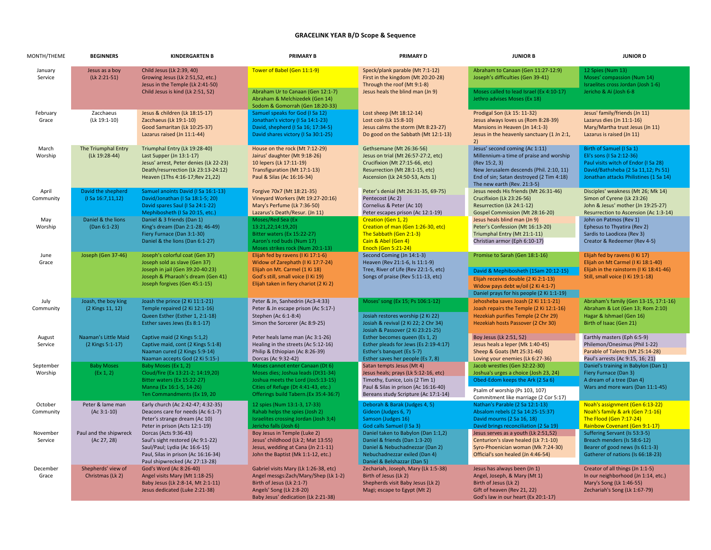## **GRACELINK YEAR B/D Scope & Sequence**

| MONTH/THEME          | <b>BEGINNERS</b>                          | <b>KINDERGARTEN B</b>                                                                                                                                                           | <b>PRIMARY B</b>                                                                                                                                                                             | <b>PRIMARY D</b>                                                                                                                                                                     | <b>JUNIOR B</b>                                                                                                                                                                                                        | <b>JUNIOR D</b>                                                                                                                                                                |
|----------------------|-------------------------------------------|---------------------------------------------------------------------------------------------------------------------------------------------------------------------------------|----------------------------------------------------------------------------------------------------------------------------------------------------------------------------------------------|--------------------------------------------------------------------------------------------------------------------------------------------------------------------------------------|------------------------------------------------------------------------------------------------------------------------------------------------------------------------------------------------------------------------|--------------------------------------------------------------------------------------------------------------------------------------------------------------------------------|
| January<br>Service   | Jesus as a boy<br>(Lk 2:21-51)            | Child Jesus (Lk 2:39, 40)<br>Growing Jesus (Lk 2:51,52, etc.)<br>Jesus in the Temple (Lk 2:41-50)<br>Child Jesus is kind (Lk 2:51, 52)                                          | Tower of Babel (Gen 11:1-9)<br>Abraham Ur to Canaan (Gen 12:1-7)<br>Abraham & Melchizedek (Gen 14)                                                                                           | Speck/plank parable (Mt 7:1-12)<br>First in the kingdom (Mt 20:20-28)<br>Through the roof (Mt 9:1-8)<br>Jesus heals the blind man (Jn 9)                                             | Abraham to Canaan (Gen 11:27-12:9)<br>Joseph's difficulties (Gen 39-41)<br>Moses called to lead Israel (Ex 4:10-17)<br>Jethro advises Moses (Ex 18)                                                                    | 12 Spies (Num 13)<br>Moses' compassion (Num 14)<br>Israelites cross Jordan (Josh 1-6)<br>Jericho & Ai (Josh 6-8                                                                |
| February<br>Grace    | Zacchaeus<br>(Lk 19:1-10)                 | Jesus & children (Lk 18:15-17)<br>Zacchaeus (Lk 19:1-10)<br>Good Samaritan (Lk 10:25-37)<br>Lazarus raised (Jn 11:1-44)                                                         | Sodom & Gomorrah (Gen 18:20-33)<br>Samuel speaks for God (I Sa 12)<br>Jonathan's victory (I Sa 14:1-23)<br>David, shepherd (I Sa 16; 17:34-5)<br>David shares victory (I Sa 30:1-25)         | Lost sheep (Mt 18:12-14)<br>Lost coin (Lk 15:8-10)<br>Jesus calms the storm (Mt 8:23-27)<br>Do good on the Sabbath (Mt 12:1-13)                                                      | Prodigal Son (Lk 15: 11-32)<br>Jesus always loves us (Rom 8:28-39)<br>Mansions in Heaven (Jn 14:1-3)<br>Jesus in the heavenly sanctuary (1 Jn 2:1,                                                                     | Jesus' family/friends (Jn 11)<br>Lazarus dies (Jn 11:1-16)<br>Mary/Martha trust Jesus (Jn 11)<br>Lazarus is raised (Jn 11)                                                     |
| March<br>Worship     | The Triumphal Entry<br>(Lk 19:28-44)      | Triumphal Entry (Lk 19:28-40)<br>Last Supper (Jn 13:1-17)<br>Jesus' arrest, Peter denies (Lk 22-23)<br>Death/resurrection (Lk 23:13-24:12)<br>Heaven (1Ths 4:16-17; Rev 21, 22) | House on the rock (Mt 7:12-29)<br>Jairus' daughter (Mt 9:18-26)<br>10 lepers (Lk 17:11-19)<br>Transfiguration (Mt 17:1-13)<br>Paul & Silas (Ac 16:16-34)                                     | Gethsemane (Mt 26:36-56)<br>Jesus on trial (Mt 26:57-27:2, etc)<br>Crucifixion (Mt 27:15-66, etc)<br>Resurrection (Mt 28:1-15, etc)<br>Ascension (Lk 24:50-53, Acts 1)               | 2)<br>Jesus' second coming (Ac 1:11)<br>Millennium-a time of praise and worship<br>(Rev 15:2, 3)<br>New Jerusalem descends (Phil. 2:10, 11)<br>End of sin; Satan destroyed (2 Tim 4:18)<br>The new earth (Rev. 21:3-5) | Birth of Samuel (I Sa 1)<br>Eli's sons (I Sa 2:12-36)<br>Paul visits witch of Endor (I Sa 28)<br>David/Bathsheba (2 Sa 11,12; Ps 51)<br>Jonathan attacks Philistines (1 Sa 14) |
| April<br>Community   | David the shepherd<br>(I Sa 16:7, 11, 12) | Samuel anoints David (I Sa 16:1-13)<br>David/Jonathan (I Sa 18:1-5; 20)<br>David spares Saul (I Sa 24:1-22)<br>Mephibosheth (I Sa 20:15, etc.)                                  | Forgive 70x7 (Mt 18:21-35)<br>Vineyard Workers (Mt 19:27-20:16)<br>Mary's Perfume (Lk 7:36-50)<br>Lazarus's Death/Resur. (Jn 11)                                                             | Peter's denial (Mt 26:31-35, 69-75)<br>Pentecost (Ac 2)<br>Cornelius & Peter (Ac 10)<br>Peter escapes prison (Ac 12:1-19)                                                            | Jesus needs His friends (Mt 26:31-46)<br>Crucifixion (Lk 23:26-56)<br>Resurrection (Lk 24:1-12)<br>Gospel Commission (Mt 28:16-20)                                                                                     | Disciples' weakness (Mt 26; Mk 14)<br>Simon of Cyrene (Lk 23:26)<br>John & Jesus' mother (Jn 19:25-27)<br>Resurrection to Ascension (Ac 1:3-14)                                |
| May<br>Worship       | Daniel & the lions<br>(Dan 6:1-23)        | Daniel & 3 friends (Dan 1)<br>King's dream (Dan 2:1-28; 46-49)<br>Fiery Furnace (Dan 3:1-30)<br>Daniel & the lions (Dan 6:1-27)                                                 | Moses/Red Sea (Ex<br>13:21,22;14:19,20)<br>Bitter waters (Ex 15:22-27)<br>Aaron's rod buds (Num 17)<br>Moses strikes rock (Num 20:1-13)                                                      | Creation (Gen 1, 2)<br>Creation of man (Gen 1:26-30, etc)<br>The Sabbath (Gen 2:1-3)<br>Cain & Abel (Gen 4)<br><b>Enoch (Gen 5:21-24)</b>                                            | Jesus heals blind man (Jn 9)<br>Peter's Confession (Mt 16:13-20)<br>Triumphal Entry (Mt 21:1-11)<br>Christian armor (Eph 6:10-17)                                                                                      | John on Patmos (Rev 1)<br>Ephesus to Thyatira (Rev 2)<br>Sardis to Laodicea (Rev 3)<br>Creator & Redeemer (Rev 4-5)                                                            |
| June<br>Grace        | Joseph (Gen 37-46)                        | Joseph's colorful coat (Gen 37)<br>Joseph sold as slave (Gen 37)<br>Joseph in jail (Gen 39:20-40:23)<br>Joseph & Pharaoh's dream (Gen 41)<br>Joseph forgives (Gen 45:1-15)      | Elijah fed by ravens (I Ki 17:1-6)<br>Widow of Zarephath (I Ki 17:7-24)<br>Elijah on Mt. Carmel (1 Ki 18)<br>God's still, small voice (I Ki 19)<br>Elijah taken in fiery chariot (2 Ki 2)    | Second Coming (Jn 14:1-3)<br>Heaven (Rev 21:1-6, Is 11:1-9)<br>Tree, River of Life (Rev 22:1-5, etc)<br>Songs of praise (Rev 5:11-13, etc)                                           | Promise to Sarah (Gen 18:1-16)<br>David & Mephibosheth (1Sam 20:12-15)<br>Elijah receives double (2 Ki 2:1-13)<br>Widow pays debt w/oil (2 Ki 4:1-7)<br>Daniel prays for his people (2 Ki 1:1-19)                      | Elijah fed by ravens (I Ki 17)<br>Elijah on Mt Carmel (I Ki 18:1-40)<br>Elijah in the rainstorm (I Ki 18:41-46)<br>Still, small voice (I Ki 19:1-18)                           |
| July<br>Community    | Joash, the boy king<br>(2 Kings 11, 12)   | Joash the prince (2 Ki 11:1-21)<br>Temple repaired (2 Ki 12:1-16)<br>Queen Esther (Esther 1, 2:1-18)<br>Esther saves Jews (Es 8:1-17)                                           | Peter & Jn, Sanhedrin (Ac3-4:33)<br>Peter & Jn escape prison (Ac 5:17-)<br>Stephen (Ac 6:1-8:4)<br>Simon the Sorcerer (Ac 8:9-25)                                                            | Moses' song (Ex 15; Ps 106:1-12)<br>Josiah restores worship (2 Ki 22)<br>Josiah & revival (2 Ki 22; 2 Chr 34)<br>Josiah & Passover (2 Ki 23:21-25)                                   | Jehosheba saves Joash (2 Ki 11:1-21)<br>Joash repairs the Temple (2 Ki 12:1-16)<br>Hezekiah purifies Temple (2 Chr 29)<br>Hezekiah hosts Passover (2 Chr 30)                                                           | Abraham's family (Gen 13-15, 17:1-16)<br>Abraham & Lot (Gen 13; Rom 2:10)<br>Hagar & Ishmael (Gen 16)<br>Birth of Isaac (Gen 21)                                               |
| August<br>Service    | Naaman's Little Maid<br>(2 Kings 5:1-17)  | Captive maid (2 Kings 5:1,2)<br>Captive maid, cont (2 Kings 5:1-8)<br>Naaman cured (2 Kings 5:9-14)<br>Naaman accepts God (2 Ki 5:15-)                                          | Peter heals lame man (Ac 3:1-26)<br>Healing in the streets (Ac 5:12-16)<br>Philip & Ethiopian (Ac 8:26-39)<br>Dorcas (Ac 9:32-42)                                                            | Esther becomes queen (Es 1, 2)<br>Esther pleads for Jews (Es 2:19-4:17)<br>Esther's banquet (Es 5-7)<br>Esther saves her people (Es 7, 8)                                            | Boy Jesus (Lk 2:51, 52)<br>Jesus heals a leper (Mk 1:40-45)<br>Sheep & Goats (Mt 25:31-46)<br>Loving your enemies (Lk 6:27-36)                                                                                         | Earthly masters (Eph 6:5-9)<br>Philemon/Onesimus (Phil 1-22)<br>Parable of Talents (Mt 25:14-28)<br>Paul's arrests (Ac 9:15, 16; 21)                                           |
| September<br>Worship | <b>Baby Moses</b><br>(Ex 1, 2)            | Baby Moses (Ex 1, 2)<br>Cloud/fire (Ex 13:21-2; 14:19,20)<br>Bitter waters (Ex 15:22-27)<br>Manna (Ex 16:1-5, 14-26)<br>Ten Commandments (Ex 19, 20                             | Moses cannot enter Canaan (Dt 6)<br>Moses dies; Joshua leads (Dt31-34)<br>Joshua meets the Lord (Jos5:13-15)<br>Cities of Refuge (Dt 4:41-43, etc.)<br>Offerings build Tabern.(Ex 35:4-36:7) | Satan tempts Jesus (Mt 4)<br>Jesus heals; prays (Lk 5:12-16, etc)<br>Timothy, Eunice, Lois (2 Tim 1)<br>Paul & Silas in prison (Ac 16:16-40)<br>Bereans study Scripture (Ac 17:1-14) | Jacob wrestles (Gen 32:22-30)<br>Joshua's urges a choice (Josh 23, 24)<br>Obed-Edom keeps the Ark (2 Sa 6)<br>Psalm of worship (Ps 103, 107)<br>Commitment like marriage (2 Cor 5:17)                                  | Daniel's training in Babylon (Dan 1)<br>Fiery Furnace (Dan 3)<br>A dream of a tree (Dan 4)<br>Wars and more wars (Dan 11:1-45)                                                 |
| October<br>Community | Peter & lame man<br>$(Ac 3:1-10)$         | Early church (Ac 2:42-47; 4:32-35)<br>Deacons care for needs (Ac 6:1-7)<br>Peter's strange dream (Ac 10)<br>Peter in prison (Acts 12:1-19)                                      | 12 spies (Num 13:1-3, 17-33)<br>Rahab helps the spies (Josh 2)<br>Israelites crossing Jordan (Josh 3;4)<br>Jericho falls (Josh 6)                                                            | Deborah & Barak (Judges 4, 5)<br>Gideon (Judges 6, 7)<br>Samson (Judges 16)<br>God calls Samuel (I Sa 3)                                                                             | Nathan's Parable (2 Sa 12:1-13)<br>Absalom rebels (2 Sa 14:25-15:37)<br>David mourns (2 Sa 16, 18)<br>David brings reconciliation (2 Sa 19)                                                                            | Noah's assignment (Gen 6:13-22)<br>Noah's family & ark (Gen 7:1-16)<br>The Flood (Gen 7:17-24)<br>Rainbow Covenant (Gen 9:1-17)                                                |
| November<br>Service  | Paul and the shipwreck<br>(Ac 27, 28)     | Dorcas (Acts 9:36-43)<br>Saul's sight restored (Ac 9:1-22)<br>Saul/Paul; Lydia (Ac 16:6-15)<br>Paul, Silas in prison (Ac 16:16-34)<br>Paul shipwrecked (Ac 27:13-28)            | Boy Jesus in Temple (Luke 2)<br>Jesus' childhood (Lk 2; Mat 13:55)<br>Jesus, wedding at Cana (Jn 2:1-11)<br>John the Baptist (Mk 1:1-12, etc.)                                               | Daniel taken to Babylon (Dan 1:1,2)<br>Daniel & friends (Dan 1:3-20)<br>Daniel & Nebuchadnezzar (Dan 2)<br>Nebuchadnezzar exiled (Dan 4)<br>Daniel & Belshazzar (Dan 5)              | Jesus serves as a youth (Lk 2:51,52)<br>Centurion's slave healed (Lk 7:1-10)<br>Syro-Phoenician woman (Mk 7:24-30)<br>Official's son healed (Jn 4:46-54)                                                               | Suffering Servant (Is 53:3-5)<br>Breach menders (Is 58:6-12)<br>Bearer of good news (Is 61:1-3)<br>Gatherer of nations (Is 66:18-23)                                           |
| December<br>Grace    | Shepherds' view of<br>Christmas (Lk 2)    | God's Word (Ac 8:26-40)<br>Angel visits Mary (Mt 1:18-25)<br>Baby Jesus (Lk 2:8-14, Mt 2:1-11)<br>Jesus dedicated (Luke 2:21-38)                                                | Gabriel visits Mary (Lk 1:26-38, etc)<br>Angel messgs:Zach/Mary/Shep (Lk 1-2)<br>Birth of Jesus (Lk 2:1-7)<br>Angels' Song (Lk 2:8-20)<br>Baby Jesus' dedication (Lk 2:21-38)                | Zechariah, Joseph, Mary (Lk 1:5-38)<br>Birth of Jesus (Lk 2)<br>Shepherds visit Baby Jesus (Lk 2)<br>Magi; escape to Egypt (Mt 2)                                                    | Jesus has always been (Jn 1)<br>Angel, Joseph, & Mary (Mt 1)<br>Birth of Jesus (Lk 2)<br>Gift of heaven (Rev 21, 22)<br>God's law in our heart (Ex 20:1-17)                                                            | Creator of all things (Jn 1:1-5)<br>In our neighborhood (Jn 1:14, etc.)<br>Mary's Song (Lk 1:46-55)<br>Zechariah's Song (Lk 1:67-79)                                           |